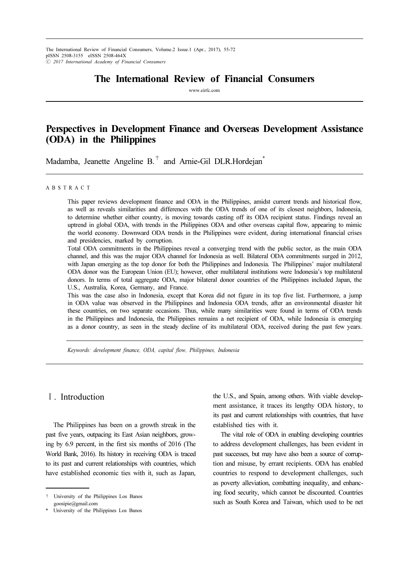The International Review of Financial Consumers, Volume.2 Issue.1 (Apr., 2017), 55-72 pISSN 2508-3155 eISSN 2508-464X ⓒ 2017 International Academy of Financial Consumers

# The International Review of Financial Consumers

www.eirfc.com

# Perspectives in Development Finance and Overseas Development Assistance (ODA) in the Philippines

Madamba, Jeanette Angeline B.<sup>†</sup> and Arnie-Gil DLR.Hordejan<sup>\*</sup>

#### A B S T R A C T

This paper reviews development finance and ODA in the Philippines, amidst current trends and historical flow, as well as reveals similarities and differences with the ODA trends of one of its closest neighbors, Indonesia, to determine whether either country, is moving towards casting off its ODA recipient status. Findings reveal an uptrend in global ODA, with trends in the Philippines ODA and other overseas capital flow, appearing to mimic the world economy. Downward ODA trends in the Philippines were evident, during international financial crises and presidencies, marked by corruption.

Total ODA commitments in the Philippines reveal a converging trend with the public sector, as the main ODA channel, and this was the major ODA channel for Indonesia as well. Bilateral ODA commitments surged in 2012, with Japan emerging as the top donor for both the Philippines and Indonesia. The Philippines' major multilateral ODA donor was the European Union (EU); however, other multilateral institutions were Indonesia's top multilateral donors. In terms of total aggregate ODA, major bilateral donor countries of the Philippines included Japan, the U.S., Australia, Korea, Germany, and France.

This was the case also in Indonesia, except that Korea did not figure in its top five list. Furthermore, a jump in ODA value was observed in the Philippines and Indonesia ODA trends, after an environmental disaster hit these countries, on two separate occasions. Thus, while many similarities were found in terms of ODA trends in the Philippines and Indonesia, the Philippines remains a net recipient of ODA, while Indonesia is emerging as a donor country, as seen in the steady decline of its multilateral ODA, received during the past few years.

Keywords: development finance, ODA, capital flow, Philippines, Indonesia

## Ⅰ. Introduction

The Philippines has been on a growth streak in the past five years, outpacing its East Asian neighbors, growing by 6.9 percent, in the first six months of 2016 (The World Bank, 2016). Its history in receiving ODA is traced to its past and current relationships with countries, which have established economic ties with it, such as Japan,

the U.S., and Spain, among others. With viable development assistance, it traces its lengthy ODA history, to its past and current relationships with countries, that have established ties with it.

The vital role of ODA in enabling developing countries to address development challenges, has been evident in past successes, but may have also been a source of corruption and misuse, by errant recipients. ODA has enabled countries to respond to development challenges, such as poverty alleviation, combatting inequality, and enhancing food security, which cannot be discounted. Countries such as South Korea and Taiwan, which used to be net

<sup>†</sup> University of the Philippines Los Banos goosipie@gmail.com

University of the Philippines Los Banos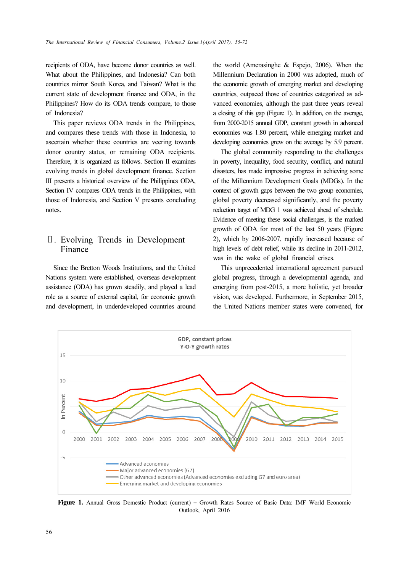recipients of ODA, have become donor countries as well. What about the Philippines, and Indonesia? Can both countries mirror South Korea, and Taiwan? What is the current state of development finance and ODA, in the Philippines? How do its ODA trends compare, to those of Indonesia?

This paper reviews ODA trends in the Philippines, and compares these trends with those in Indonesia, to ascertain whether these countries are veering towards donor country status, or remaining ODA recipients. Therefore, it is organized as follows. Section II examines evolving trends in global development finance. Section III presents a historical overview of the Philippines ODA, Section IV compares ODA trends in the Philippines, with those of Indonesia, and Section V presents concluding notes.

# Ⅱ. Evolving Trends in Development Finance

Since the Bretton Woods Institutions, and the United Nations system were established, overseas development assistance (ODA) has grown steadily, and played a lead role as a source of external capital, for economic growth and development, in underdeveloped countries around

the world (Amerasinghe & Espejo, 2006). When the Millennium Declaration in 2000 was adopted, much of the economic growth of emerging market and developing countries, outpaced those of countries categorized as advanced economies, although the past three years reveal a closing of this gap (Figure 1). In addition, on the average, from 2000-2015 annual GDP, constant growth in advanced economies was 1.80 percent, while emerging market and developing economies grew on the average by 5.9 percent.

The global community responding to the challenges in poverty, inequality, food security, conflict, and natural disasters, has made impressive progress in achieving some of the Millennium Development Goals (MDGs). In the context of growth gaps between the two group economies, global poverty decreased significantly, and the poverty reduction target of MDG 1 was achieved ahead of schedule. Evidence of meeting these social challenges, is the marked growth of ODA for most of the last 50 years (Figure 2), which by 2006-2007, rapidly increased because of high levels of debt relief, while its decline in 2011-2012, was in the wake of global financial crises.

This unprecedented international agreement pursued global progress, through a developmental agenda, and emerging from post-2015, a more holistic, yet broader vision, was developed. Furthermore, in September 2015, the United Nations member states were convened, for



Figure 1. Annual Gross Domestic Product (current) – Growth Rates Source of Basic Data: IMF World Economic Outlook, April 2016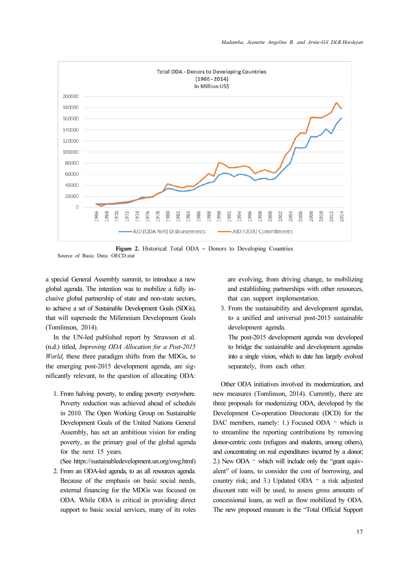

Figure 2. Historical Total ODA – Donors to Developing Countries Source of Basic Data: OECD.stat

a special General Assembly summit, to introduce a new global agenda. The intention was to mobilize a fully inclusive global partnership of state and non-state sectors, to achieve a set of Sustainable Development Goals (SDGs), that will supersede the Millennium Development Goals (Tomlinson, 2014).

In the UN-led published report by Strawson et al. (n.d.) titled, Improving ODA Allocation for a Post-2015 World, these three paradigm shifts from the MDGs, to the emerging post-2015 development agenda, are significantly relevant, to the question of allocating ODA:

1. From halving poverty, to ending poverty everywhere. Poverty reduction was achieved ahead of schedule in 2010. The Open Working Group on Sustainable Development Goals of the United Nations General Assembly, has set an ambitious vision for ending poverty, as the primary goal of the global agenda for the next 15 years.

(See https://sustainabledevelopment.un.org/owg.html)

2. From an ODA-led agenda, to an all resources agenda. Because of the emphasis on basic social needs, external financing for the MDGs was focused on ODA. While ODA is critical in providing direct support to basic social services, many of its roles are evolving, from driving change, to mobilizing and establishing partnerships with other resources, that can support implementation.

3. From the sustainability and development agendas, to a unified and universal post-2015 sustainable development agenda.

The post-2015 development agenda was developed to bridge the sustainable and development agendas into a single vision, which to date has largely evolved separately, from each other.

Other ODA initiatives involved its modernization, and new measures (Tomlinson, 2014). Currently, there are three proposals for modernizing ODA, developed by the Development Co-operation Directorate (DCD) for the DAC members, namely: 1.) Focused ODA - which is to streamline the reporting contributions by removing donor-centric costs (refugees and students, among others), and concentrating on real expenditures incurred by a donor; 2.) New ODA – which will include only the "grant equivalent" of loans, to consider the cost of borrowing, and country risk; and 3.) Updated ODA – a risk adjusted discount rate will be used, to assess gross amounts of concessional loans, as well as flow mobilized by ODA. The new proposed measure is the "Total Official Support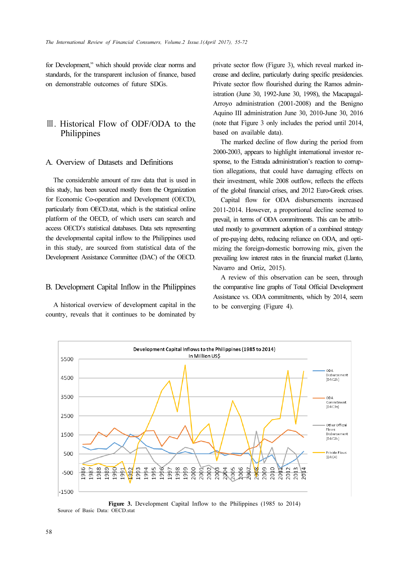for Development," which should provide clear norms and standards, for the transparent inclusion of finance, based on demonstrable outcomes of future SDGs.

# Ⅲ. Historical Flow of ODF/ODA to the Philippines

### A. Overview of Datasets and Definitions

The considerable amount of raw data that is used in this study, has been sourced mostly from the Organization for Economic Co-operation and Development (OECD), particularly from OECD.stat, which is the statistical online platform of the OECD, of which users can search and access OECD's statistical databases. Data sets representing the developmental capital inflow to the Philippines used in this study, are sourced from statistical data of the Development Assistance Committee (DAC) of the OECD.

#### B. Development Capital Inflow in the Philippines

A historical overview of development capital in the country, reveals that it continues to be dominated by private sector flow (Figure 3), which reveal marked increase and decline, particularly during specific presidencies. Private sector flow flourished during the Ramos administration (June 30, 1992-June 30, 1998), the Macapagal-Arroyo administration (2001-2008) and the Benigno Aquino III administration June 30, 2010-June 30, 2016 (note that Figure 3 only includes the period until 2014, based on available data).

The marked decline of flow during the period from 2000-2003, appears to highlight international investor response, to the Estrada administration's reaction to corruption allegations, that could have damaging effects on their investment, while 2008 outflow, reflects the effects of the global financial crises, and 2012 Euro-Greek crises.

Capital flow for ODA disbursements increased 2011-2014. However, a proportional decline seemed to prevail, in terms of ODA commitments. This can be attributed mostly to government adoption of a combined strategy of pre-paying debts, reducing reliance on ODA, and optimizing the foreign-domestic borrowing mix, given the prevailing low interest rates in the financial market (Llanto, Navarro and Ortiz, 2015).

A review of this observation can be seen, through the comparative line graphs of Total Official Development Assistance vs. ODA commitments, which by 2014, seem to be converging (Figure 4).



Figure 3. Development Capital Inflow to the Philippines (1985 to 2014) Source of Basic Data: OECD.stat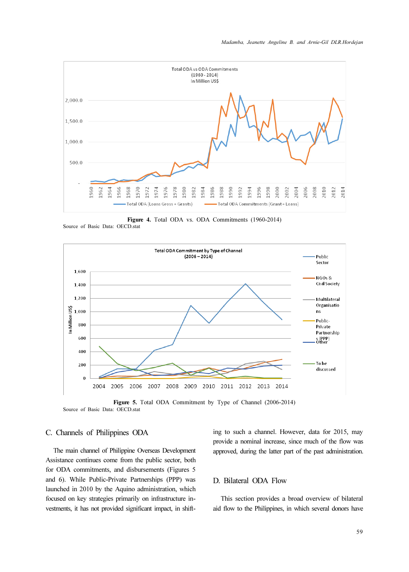

Figure 4. Total ODA vs. ODA Commitments (1960-2014)





Figure 5. Total ODA Commitment by Type of Channel (2006-2014) Source of Basic Data: OECD.stat

### C. Channels of Philippines ODA

The main channel of Philippine Overseas Development Assistance continues come from the public sector, both for ODA commitments, and disbursements (Figures 5 and 6). While Public-Private Partnerships (PPP) was launched in 2010 by the Aquino administration, which focused on key strategies primarily on infrastructure investments, it has not provided significant impact, in shifting to such a channel. However, data for 2015, may provide a nominal increase, since much of the flow was approved, during the latter part of the past administration.

### D. Bilateral ODA Flow

This section provides a broad overview of bilateral aid flow to the Philippines, in which several donors have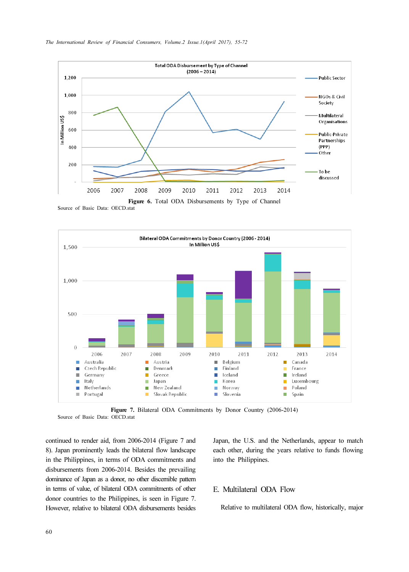

Source of Basic Data: OECD.stat



Figure 7. Bilateral ODA Commitments by Donor Country (2006-2014) Source of Basic Data: OECD.stat

continued to render aid, from 2006-2014 (Figure 7 and 8). Japan prominently leads the bilateral flow landscape in the Philippines, in terms of ODA commitments and disbursements from 2006-2014. Besides the prevailing dominance of Japan as a donor, no other discernible pattern in terms of value, of bilateral ODA commitments of other donor countries to the Philippines, is seen in Figure 7. However, relative to bilateral ODA disbursements besides

Japan, the U.S. and the Netherlands, appear to match each other, during the years relative to funds flowing into the Philippines.

### E. Multilateral ODA Flow

Relative to multilateral ODA flow, historically, major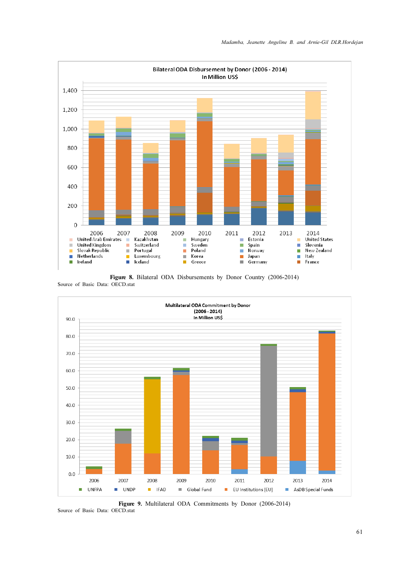

Figure 8. Bilateral ODA Disbursements by Donor Country (2006-2014) Source of Basic Data: OECD.stat



Figure 9. Multilateral ODA Commitments by Donor (2006-2014)

Source of Basic Data: OECD.stat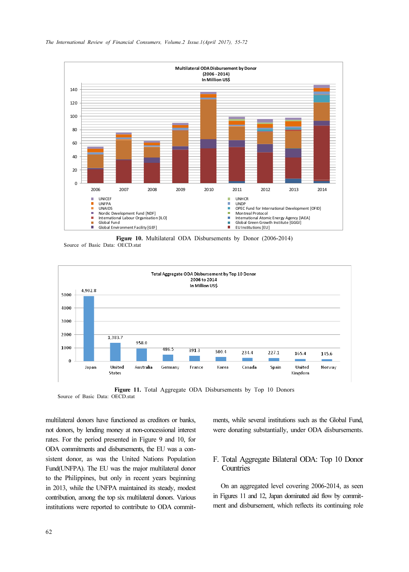



Figure 10. Multilateral ODA Disbursements by Donor (2006-2014) Source of Basic Data: OECD.stat



Figure 11. Total Aggregate ODA Disbursements by Top 10 Donors Source of Basic Data: OECD.stat

multilateral donors have functioned as creditors or banks, not donors, by lending money at non-concessional interest rates. For the period presented in Figure 9 and 10, for ODA commitments and disbursements, the EU was a consistent donor, as was the United Nations Population Fund(UNFPA). The EU was the major multilateral donor to the Philippines, but only in recent years beginning in 2013, while the UNFPA maintained its steady, modest contribution, among the top six multilateral donors. Various institutions were reported to contribute to ODA commitments, while several institutions such as the Global Fund, were donating substantially, under ODA disbursements.

## F. Total Aggregate Bilateral ODA: Top 10 Donor **Countries**

On an aggregated level covering 2006-2014, as seen in Figures 11 and 12, Japan dominated aid flow by commitment and disbursement, which reflects its continuing role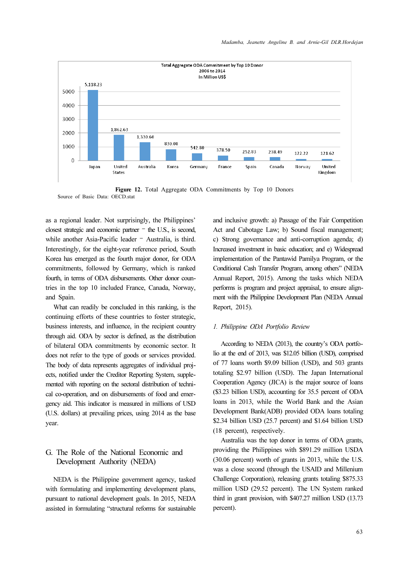

Figure 12. Total Aggregate ODA Commitments by Top 10 Donors Source of Basic Data: OECD stat

as a regional leader. Not surprisingly, the Philippines' closest strategic and economic partner – the U.S., is second, while another Asia-Pacific leader – Australia, is third. Interestingly, for the eight-year reference period, South Korea has emerged as the fourth major donor, for ODA commitments, followed by Germany, which is ranked fourth, in terms of ODA disbursements. Other donor countries in the top 10 included France, Canada, Norway, and Spain.

What can readily be concluded in this ranking, is the continuing efforts of these countries to foster strategic, business interests, and influence, in the recipient country through aid. ODA by sector is defined, as the distribution of bilateral ODA commitments by economic sector. It does not refer to the type of goods or services provided. The body of data represents aggregates of individual projects, notified under the Creditor Reporting System, supplemented with reporting on the sectoral distribution of technical co-operation, and on disbursements of food and emergency aid. This indicator is measured in millions of USD (U.S. dollars) at prevailing prices, using 2014 as the base year.

## G. The Role of the National Economic and Development Authority (NEDA)

NEDA is the Philippine government agency, tasked with formulating and implementing development plans, pursuant to national development goals. In 2015, NEDA assisted in formulating "structural reforms for sustainable and inclusive growth: a) Passage of the Fair Competition Act and Cabotage Law; b) Sound fiscal management; c) Strong governance and anti-corruption agenda; d) Increased investment in basic education; and e) Widespread implementation of the Pantawid Pamilya Program, or the Conditional Cash Transfer Program, among others" (NEDA Annual Report, 2015). Among the tasks which NEDA performs is program and project appraisal, to ensure alignment with the Philippine Development Plan (NEDA Annual Report, 2015).

#### 1. Philippine ODA Portfolio Review

According to NEDA (2013), the country's ODA portfolio at the end of 2013, was \$12.05 billion (USD), comprised of 77 loans worth \$9.09 billion (USD), and 503 grants totaling \$2.97 billion (USD). The Japan International Cooperation Agency (JICA) is the major source of loans (\$3.23 billion USD), accounting for 35.5 percent of ODA loans in 2013, while the World Bank and the Asian Development Bank(ADB) provided ODA loans totaling \$2.34 billion USD (25.7 percent) and \$1.64 billion USD (18 percent), respectively.

Australia was the top donor in terms of ODA grants, providing the Philippines with \$891.29 million USDA (30.06 percent) worth of grants in 2013, while the U.S. was a close second (through the USAID and Millenium Challenge Corporation), releasing grants totaling \$875.33 million USD (29.52 percent). The UN System ranked third in grant provision, with \$407.27 million USD (13.73 percent).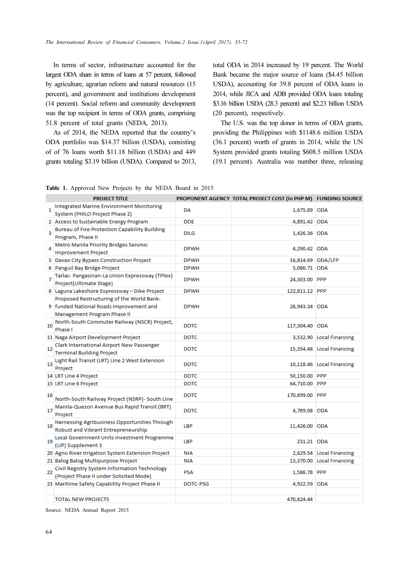In terms of sector, infrastructure accounted for the largest ODA share in terms of loans at 57 percent, followed by agriculture, agrarian reform and natural resources (15 percent), and government and institutions development (14 percent). Social reform and community development was the top recipient in terms of ODA grants, comprising 51.8 percent of total grants (NEDA, 2013).

As of 2014, the NEDA reported that the country's ODA portfolio was \$14.37 billion (USDA), consisting of of 76 loans worth \$11.18 billion (USDA) and 449 grants totaling \$3.19 billion (USDA). Compared to 2013, total ODA in 2014 increased by 19 percent. The World Bank became the major source of loans (\$4.45 billion USDA), accounting for 39.8 percent of ODA loans in 2014, while JICA and ADB provided ODA loans totaling \$3.16 billion USDA (28.3 percent) and \$2.23 billion USDA (20 percent), respectively.

The U.S. was the top donor in terms of ODA grants, providing the Philippines with \$1148.6 million USDA (36.1 percent) worth of grants in 2014, while the UN System provided grants totaling \$608.5 million USDA (19.1 percent). Australia was number three, releasing

|  | Table 1. Approved New Projects by the NEDA Board in 2015 |  |  |  |  |
|--|----------------------------------------------------------|--|--|--|--|
|  |                                                          |  |  |  |  |

|    | <b>PROJECT TITLE</b>                                                                                                |             | PROPONENT AGENCY TOTAL PROJECT COST (in PHP M) FUNDING SOURCE |                           |
|----|---------------------------------------------------------------------------------------------------------------------|-------------|---------------------------------------------------------------|---------------------------|
| 1  | <b>Integrated Marine Environment Monitoring</b><br>System (PHILO Project Phase 2)                                   | DA          | 1,675.89 ODA                                                  |                           |
|    | 2 Access to Sustainable Energy Program                                                                              | <b>DOE</b>  | 4,891.42 ODA                                                  |                           |
| 3  | <b>Bureau of Fire Protection Capability Building</b><br>Program, Phase II                                           | <b>DILG</b> | 1,426.36 ODA                                                  |                           |
| 4  | Metro Manila Priority Bridges Seismic<br><b>Improvement Project</b>                                                 | <b>DPWH</b> | 4,290.42 ODA                                                  |                           |
|    | 5 Davao City Bypass Construction Project                                                                            | <b>DPWH</b> | 16,814.69 ODA/LFP                                             |                           |
|    | 6 Panguil Bay Bridge Project                                                                                        | <b>DPWH</b> | 5,086.71 ODA                                                  |                           |
| 7  | Tarlac- Pangasinan-La Union Expressway (TPlex)<br>Project(Ultimate Stage)                                           | <b>DPWH</b> | 24,303.00 PPP                                                 |                           |
|    | 8 Laguna Lakeshore Expressway - Dike Project                                                                        | <b>DPWH</b> | 122,811.12 PPP                                                |                           |
|    | Proposed Restructuring of the World Bank-<br>9 funded National Roads Improvement and<br>Management Program Phase II | <b>DPWH</b> | 28,943.34 ODA                                                 |                           |
| 10 | North-South Commuter Railway (NSCR) Project,<br>Phase I                                                             | <b>DOTC</b> | 117,304.40 ODA                                                |                           |
|    | 11 Naga Airport Development Project                                                                                 | <b>DOTC</b> |                                                               | 3,532.90 Local Financing  |
| 12 | Clark International Airport New Passenger<br><b>Terminal Building Project</b>                                       | <b>DOTC</b> |                                                               | 15,354.48 Local Financing |
| 13 | Light Rail Transit (LRT) Line 2 West Extension<br>Project                                                           | <b>DOTC</b> |                                                               | 10,118.46 Local Financing |
|    | 14 LRT Line 4 Project                                                                                               | DOTC.       | 50,150.00 PPP                                                 |                           |
|    | 15 LRT Line 6 Project                                                                                               | <b>DOTC</b> | 64,710.00 PPP                                                 |                           |
| 16 | North-South Railway Project (NSRP)- South Line                                                                      | DOTC        | 170,699.00 PPP                                                |                           |
| 17 | Manila-Quezon Avenue Bus Rapid Transit (BRT)<br>Project                                                             | <b>DOTC</b> | 4,789.08 ODA                                                  |                           |
| 18 | Harnessing Agribusiness Opportunities Through<br>Robust and Vibrant Entrepreneurship                                | <b>LBP</b>  | 11,426.00 ODA                                                 |                           |
| 19 | Local Government Units Investment Programme<br>(LIP) Supplement 3                                                   | LBP         | 231.21 ODA                                                    |                           |
|    | 20 Agno River Irrigation System Extension Project                                                                   | <b>NIA</b>  |                                                               | 2,629.54 Local Financing  |
|    | 21 Balog Balog Multipurpose Project                                                                                 | <b>NIA</b>  |                                                               | 13,370.00 Local Financing |
| 22 | Civil Registry System Information Technology<br>(Project Phase II under Solicited Mode)                             | <b>PSA</b>  | 1,586.78 PPP                                                  |                           |
|    | 23 Maritime Safety Capability Project Phase II                                                                      | DOTC-PSG    | 4,922.59 ODA                                                  |                           |
|    |                                                                                                                     |             |                                                               |                           |
|    | <b>TOTAL NEW PROJECTS</b>                                                                                           |             | 470,824.44                                                    |                           |

Source: NEDA Annual Report 2015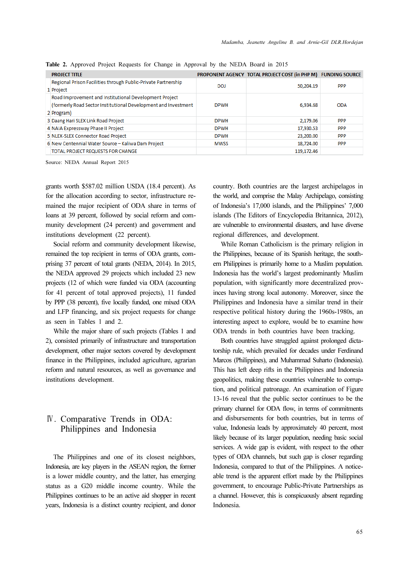| <b>PROJECT TITLE</b>                                                                                                                   |             | PROPONENT AGENCY TOTAL PROJECT COST (in PHP M) FUNDING SOURCE |            |
|----------------------------------------------------------------------------------------------------------------------------------------|-------------|---------------------------------------------------------------|------------|
| Regional Prison Facilities through Public-Private Partnership<br>1 Project                                                             | DOJ         | 50,204.19                                                     | <b>PPP</b> |
| Road Improvement and Institutional Development Project<br>(formerly Road Sector Institutional Development and Investment<br>2 Program) | <b>DPWH</b> | 6.934.68                                                      | <b>ODA</b> |
| 3 Daang Hari SLEX Link Road Project                                                                                                    | <b>DPWH</b> | 2.179.06                                                      | <b>PPP</b> |
| 4 NAIA Expressway Phase II Project                                                                                                     | <b>DPWH</b> | 17,930.53                                                     | <b>PPP</b> |
| 5 NLEX-SLEX Connector Road Project                                                                                                     | <b>DPWH</b> | 23,200.00                                                     | <b>PPP</b> |
| 6 New Centennial Water Source - Kaliwa Dam Project                                                                                     | <b>MWSS</b> | 18,724.00                                                     | <b>PPP</b> |
| <b>TOTAL PROJECT REQUESTS FOR CHANGE</b>                                                                                               |             | 119.172.46                                                    |            |

Table 2. Approved Project Requests for Change in Approval by the NEDA Board in 2015

Source: NEDA Annual Report 2015

grants worth \$587.02 million USDA (18.4 percent). As for the allocation according to sector, infrastructure remained the major recipient of ODA share in terms of loans at 39 percent, followed by social reform and community development (24 percent) and government and institutions development (22 percent).

Social reform and community development likewise, remained the top recipient in terms of ODA grants, comprising 37 percent of total grants (NEDA, 2014). In 2015, the NEDA approved 29 projects which included 23 new projects (12 of which were funded via ODA (accounting for 41 percent of total approved projects), 11 funded by PPP (38 percent), five locally funded, one mixed ODA and LFP financing, and six project requests for change as seen in Tables 1 and 2.

While the major share of such projects (Tables 1 and 2), consisted primarily of infrastructure and transportation development, other major sectors covered by development finance in the Philippines, included agriculture, agrarian reform and natural resources, as well as governance and institutions development.

# Ⅳ. Comparative Trends in ODA: Philippines and Indonesia

The Philippines and one of its closest neighbors, Indonesia, are key players in the ASEAN region, the former is a lower middle country, and the latter, has emerging status as a G20 middle income country. While the Philippines continues to be an active aid shopper in recent years, Indonesia is a distinct country recipient, and donor country. Both countries are the largest archipelagos in the world, and comprise the Malay Archipelago, consisting of Indonesia's 17,000 islands, and the Philippines' 7,000 islands (The Editors of Encyclopedia Britannica, 2012), are vulnerable to environmental disasters, and have diverse regional differences, and development.

While Roman Catholicism is the primary religion in the Philippines, because of its Spanish heritage, the southern Philippines is primarily home to a Muslim population. Indonesia has the world's largest predominantly Muslim population, with significantly more decentralized provinces having strong local autonomy. Moreover, since the Philippines and Indonesia have a similar trend in their respective political history during the 1960s-1980s, an interesting aspect to explore, would be to examine how ODA trends in both countries have been tracking.

Both countries have struggled against prolonged dictatorship rule, which prevailed for decades under Ferdinand Marcos (Philippines), and Muhammad Suharto (Indonesia). This has left deep rifts in the Philippines and Indonesia geopolitics, making these countries vulnerable to corruption, and political patronage. An examination of Figure 13-16 reveal that the public sector continues to be the primary channel for ODA flow, in terms of commitments and disbursements for both countries, but in terms of value, Indonesia leads by approximately 40 percent, most likely because of its larger population, needing basic social services. A wide gap is evident, with respect to the other types of ODA channels, but such gap is closer regarding Indonesia, compared to that of the Philippines. A noticeable trend is the apparent effort made by the Philippines government, to encourage Public-Private Partnerships as a channel. However, this is conspicuously absent regarding Indonesia.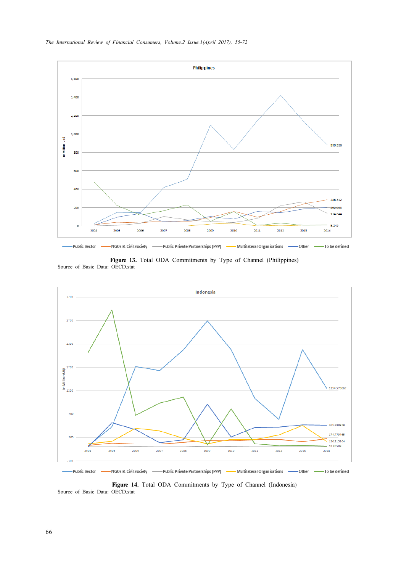

Figure 13. Total ODA Commitments by Type of Channel (Philippines) Source of Basic Data: OECD.stat



Figure 14. Total ODA Commitments by Type of Channel (Indonesia) Source of Basic Data: OECD.stat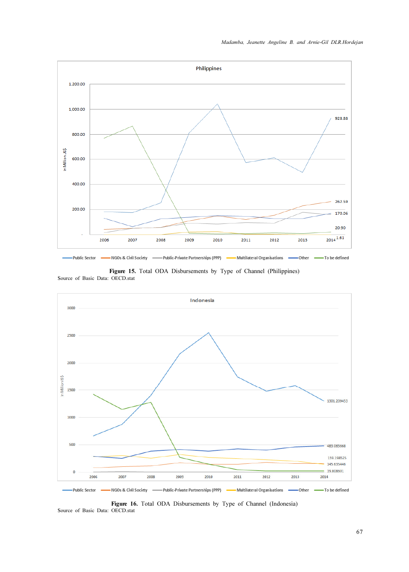

Figure 15. Total ODA Disbursements by Type of Channel (Philippines) Source of Basic Data: OECD.stat



Figure 16. Total ODA Disbursements by Type of Channel (Indonesia) Source of Basic Data: OECD.stat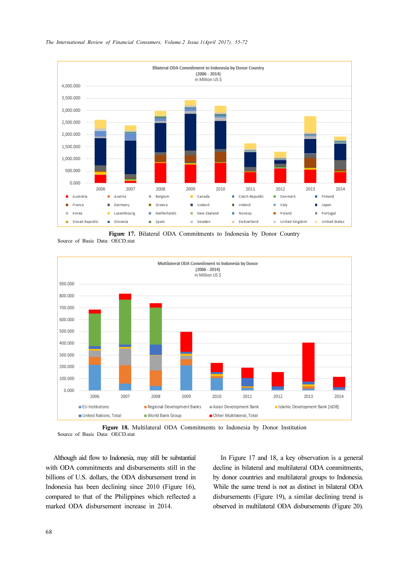

The International Review of Financial Consumers, Volume.2 Issue.1(April 2017), 55-72

Figure 17. Bilateral ODA Commitments to Indonesia by Donor Country Source of Basic Data: OECD.stat



Figure 18. Multilateral ODA Commitments to Indonesia by Donor Institution Source of Basic Data: OECD.stat

Although aid flow to Indonesia, may still be substantial with ODA commitments and disbursements still in the billions of U.S. dollars, the ODA disbursement trend in Indonesia has been declining since 2010 (Figure 16), compared to that of the Philippines which reflected a marked ODA disbursement increase in 2014.

In Figure 17 and 18, a key observation is a general decline in bilateral and multilateral ODA commitments, by donor countries and multilateral groups to Indonesia. While the same trend is not as distinct in bilateral ODA disbursements (Figure 19), a similar declining trend is observed in multilateral ODA disbursements (Figure 20).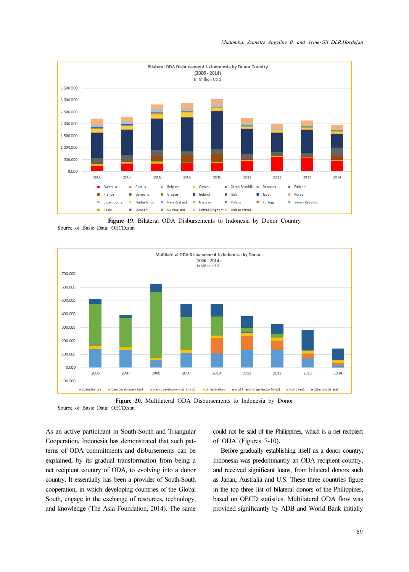





Figure 20. Multilateral ODA Disbursements to Indonesia by Donor Source of Basic Data: OECD.stat

As an active participant in South-South and Triangular Cooperation, Indonesia has demonstrated that such patterns of ODA commitments and disbursements can be explained, by its gradual transformation from being a net recipient country of ODA, to evolving into a donor country. It essentially has been a provider of South-South cooperation, in which developing countries of the Global South, engage in the exchange of resources, technology, and knowledge (The Asia Foundation, 2014). The same could not be said of the Philippines, which is a net recipient of ODA (Figures 7-10).

Before gradually establishing itself as a donor country, Indonesia was predominantly an ODA recipient country, and received significant loans, from bilateral donors such as Japan, Australia and U.S. These three countries figure in the top three list of bilateral donors of the Philippines, based on OECD statistics. Multilateral ODA flow was provided significantly by ADB and World Bank initially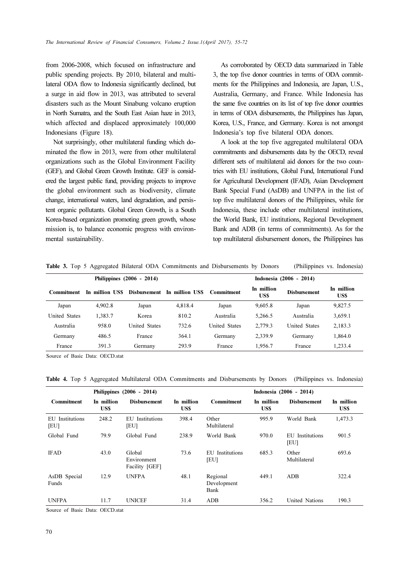from 2006-2008, which focused on infrastructure and public spending projects. By 2010, bilateral and multilateral ODA flow to Indonesia significantly declined, but a surge in aid flow in 2013, was attributed to several disasters such as the Mount Sinabung volcano eruption in North Sumatra, and the South East Asian haze in 2013, which affected and displaced approximately 100,000 Indonesians (Figure 18).

Not surprisingly, other multilateral funding which dominated the flow in 2013, were from other multilateral organizations such as the Global Environment Facility (GEF), and Global Green Growth Institute. GEF is considered the largest public fund, providing projects to improve the global environment such as biodiversity, climate change, international waters, land degradation, and persistent organic pollutants. Global Green Growth, is a South Korea-based organization promoting green growth, whose mission is, to balance economic progress with environmental sustainability.

As corroborated by OECD data summarized in Table 3, the top five donor countries in terms of ODA commitments for the Philippines and Indonesia, are Japan, U.S., Australia, Germany, and France. While Indonesia has the same five countries on its list of top five donor countries in terms of ODA disbursements, the Philippines has Japan, Korea, U.S., France, and Germany. Korea is not amongst Indonesia's top five bilateral ODA donors.

A look at the top five aggregated multilateral ODA commitments and disbursements data by the OECD, reveal different sets of multilateral aid donors for the two countries with EU institutions, Global Fund, International Fund for Agricultural Development (IFAD), Asian Development Bank Special Fund (AsDB) and UNFPA in the list of top five multilateral donors of the Philippines, while for Indonesia, these include other multilateral institutions, the World Bank, EU institutions, Regional Development Bank and ADB (in terms of commitments). As for the top multilateral disbursement donors, the Philippines has

| Philippines (2006 - 2014) |                 |               |                | Indonesia (2006 - 2014) |                          |                      |                    |  |
|---------------------------|-----------------|---------------|----------------|-------------------------|--------------------------|----------------------|--------------------|--|
| Commitment                | In million US\$ | Disbursement  | In million USS | Commitment              | In million<br><b>USS</b> | <b>Disbursement</b>  | In million<br>US\$ |  |
| Japan                     | 4.902.8         | Japan         | 4.818.4        | Japan                   | 9.605.8                  | Japan                | 9,827.5            |  |
| United States             | 1.383.7         | Korea         | 810.2          | Australia               | 5.266.5                  | Australia            | 3,659.1            |  |
| Australia                 | 958.0           | United States | 732.6          | <b>United States</b>    | 2.779.3                  | <b>United States</b> | 2,183.3            |  |
| Germany                   | 486.5           | France        | 364.1          | Germany                 | 2,339.9                  | Germany              | 1.864.0            |  |
| France                    | 391.3           | Germany       | 293.9          | France                  | 1.956.7                  | France               | 1.233.4            |  |

Table 3. Top 5 Aggregated Bilateral ODA Commitments and Disbursements by Donors (Philippines vs. Indonesia)

Source of Basic Data: OECD stat

Table 4. Top 5 Aggregated Multilateral ODA Commitments and Disbursements by Donors (Philippines vs. Indonesia)

| Philippines (2006 - 2014)    |                          |                                         |                    | Indonesia (2006 - 2014)         |                    |                                 |                          |  |
|------------------------------|--------------------------|-----------------------------------------|--------------------|---------------------------------|--------------------|---------------------------------|--------------------------|--|
| <b>Commitment</b>            | In million<br><b>USS</b> | <b>Disbursement</b>                     | In million<br>US\$ | <b>Commitment</b>               | In million<br>US\$ | <b>Disbursement</b>             | In million<br><b>USS</b> |  |
| EU Institutions<br><b>EU</b> | 248.2                    | EU Institutions<br><b>EU</b>            | 398.4              | Other<br>Multilateral           | 995.9              | World Bank                      | 1,473.3                  |  |
| Global Fund                  | 79.9                     | Global Fund                             | 238.9              | World Bank                      | 970.0              | EU<br>Institutions<br><b>EU</b> | 901.5                    |  |
| <b>IFAD</b>                  | 43.0                     | Global<br>Environment<br>Facility [GEF] | 73.6               | Institutions<br>EU<br><b>EU</b> | 685.3              | Other<br>Multilateral           | 693.6                    |  |
| AsDB Special<br>Funds        | 12.9                     | <b>UNFPA</b>                            | 48.1               | Regional<br>Development<br>Bank | 449.1              | ADB                             | 322.4                    |  |
| <b>UNFPA</b>                 | 11.7                     | <b>UNICEF</b>                           | 31.4               | ADB                             | 356.2              | United Nations                  | 190.3                    |  |

Source of Basic Data: OECD.stat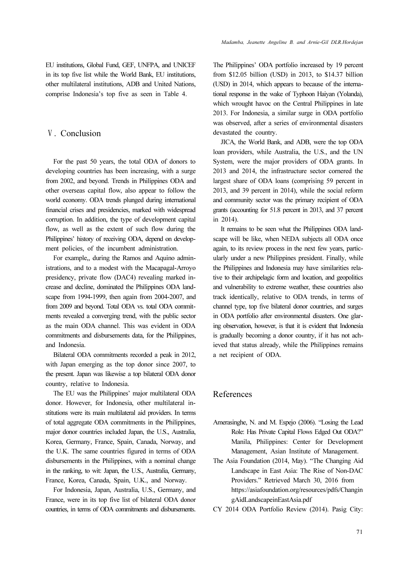EU institutions, Global Fund, GEF, UNFPA, and UNICEF in its top five list while the World Bank, EU institutions, other multilateral institutions, ADB and United Nations, comprise Indonesia's top five as seen in Table 4.

## Ⅴ. Conclusion

For the past 50 years, the total ODA of donors to developing countries has been increasing, with a surge from 2002, and beyond. Trends in Philippines ODA and other overseas capital flow, also appear to follow the world economy. ODA trends plunged during international financial crises and presidencies, marked with widespread corruption. In addition, the type of development capital flow, as well as the extent of such flow during the Philippines' history of receiving ODA, depend on development policies, of the incumbent administration.

For example,, during the Ramos and Aquino administrations, and to a modest with the Macapagal-Arroyo presidency, private flow (DAC4) revealing marked increase and decline, dominated the Philippines ODA landscape from 1994-1999, then again from 2004-2007, and from 2009 and beyond. Total ODA vs. total ODA commitments revealed a converging trend, with the public sector as the main ODA channel. This was evident in ODA commitments and disbursements data, for the Philippines, and Indonesia.

Bilateral ODA commitments recorded a peak in 2012, with Japan emerging as the top donor since 2007, to the present. Japan was likewise a top bilateral ODA donor country, relative to Indonesia.

The EU was the Philippines' major multilateral ODA donor. However, for Indonesia, other multilateral institutions were its main multilateral aid providers. In terms of total aggregate ODA commitments in the Philippines, major donor countries included Japan, the U.S., Australia, Korea, Germany, France, Spain, Canada, Norway, and the U.K. The same countries figured in terms of ODA disbursements in the Philippines, with a nominal change in the ranking, to wit: Japan, the U.S., Australia, Germany, France, Korea, Canada, Spain, U.K., and Norway.

For Indonesia, Japan, Australia, U.S., Germany, and France, were in its top five list of bilateral ODA donor countries, in terms of ODA commitments and disbursements. The Philippines' ODA portfolio increased by 19 percent from \$12.05 billion (USD) in 2013, to \$14.37 billion (USD) in 2014, which appears to because of the international response in the wake of Typhoon Haiyan (Yolanda), which wrought havoc on the Central Philippines in late 2013. For Indonesia, a similar surge in ODA portfolio was observed, after a series of environmental disasters devastated the country.

JICA, the World Bank, and ADB, were the top ODA loan providers, while Australia, the U.S., and the UN System, were the major providers of ODA grants. In 2013 and 2014, the infrastructure sector cornered the largest share of ODA loans (comprising 59 percent in 2013, and 39 percent in 2014), while the social reform and community sector was the primary recipient of ODA grants (accounting for 51.8 percent in 2013, and 37 percent in 2014).

It remains to be seen what the Philippines ODA landscape will be like, when NEDA subjects all ODA once again, to its review process in the next few years, particularly under a new Philippines president. Finally, while the Philippines and Indonesia may have similarities relative to their archipelagic form and location, and geopolitics and vulnerability to extreme weather, these countries also track identically, relative to ODA trends, in terms of channel type, top five bilateral donor countries, and surges in ODA portfolio after environmental disasters. One glaring observation, however, is that it is evident that Indonesia is gradually becoming a donor country, if it has not achieved that status already, while the Philippines remains a net recipient of ODA.

## References

- Amerasinghe, N. and M. Espejo (2006). "Losing the Lead Role: Has Private Capital Flows Edged Out ODA?" Manila, Philippines: Center for Development Management, Asian Institute of Management.
- The Asia Foundation (2014, May). "The Changing Aid Landscape in East Asia: The Rise of Non-DAC Providers." Retrieved March 30, 2016 from https://asiafoundation.org/resources/pdfs/Changin gAidLandscapeinEastAsia.pdf
- CY 2014 ODA Portfolio Review (2014). Pasig City: